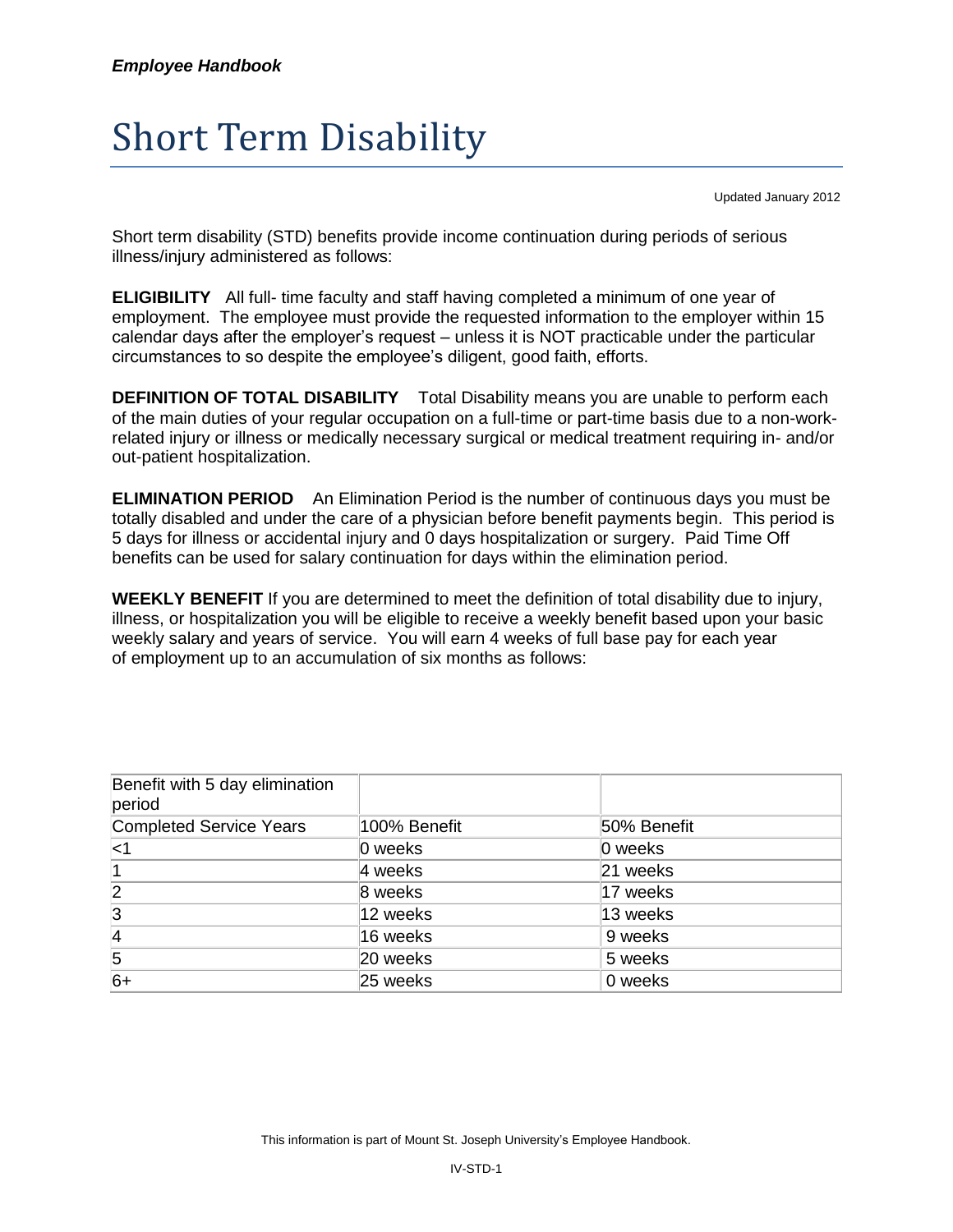## Short Term Disability

Updated January 2012

Short term disability (STD) benefits provide income continuation during periods of serious illness/injury administered as follows:

**ELIGIBILITY** All full- time faculty and staff having completed a minimum of one year of employment. The employee must provide the requested information to the employer within 15 calendar days after the employer's request – unless it is NOT practicable under the particular circumstances to so despite the employee's diligent, good faith, efforts.

**DEFINITION OF TOTAL DISABILITY** Total Disability means you are unable to perform each of the main duties of your regular occupation on a full-time or part-time basis due to a non-workrelated injury or illness or medically necessary surgical or medical treatment requiring in- and/or out-patient hospitalization.

**ELIMINATION PERIOD** An Elimination Period is the number of continuous days you must be totally disabled and under the care of a physician before benefit payments begin. This period is 5 days for illness or accidental injury and 0 days hospitalization or surgery. Paid Time Off benefits can be used for salary continuation for days within the elimination period.

**WEEKLY BENEFIT** If you are determined to meet the definition of total disability due to injury, illness, or hospitalization you will be eligible to receive a weekly benefit based upon your basic weekly salary and years of service. You will earn 4 weeks of full base pay for each year of employment up to an accumulation of six months as follows:

| Benefit with 5 day elimination<br>period |              |             |
|------------------------------------------|--------------|-------------|
| <b>Completed Service Years</b>           | 100% Benefit | 50% Benefit |
| $ $ <1                                   | 0 weeks      | 0 weeks     |
|                                          | 4 weeks      | 21 weeks    |
| $\overline{2}$                           | 8 weeks      | 17 weeks    |
| $\overline{3}$                           | 12 weeks     | 13 weeks    |
| $\overline{4}$                           | 16 weeks     | 9 weeks     |
| 5                                        | 20 weeks     | 5 weeks     |
| $6+$                                     | 25 weeks     | 0 weeks     |